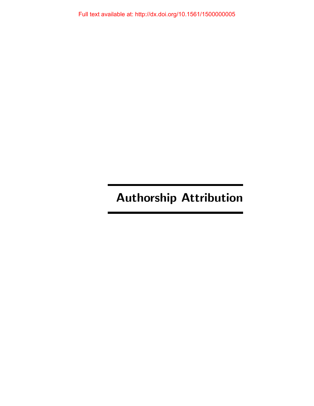# Authorship Attribution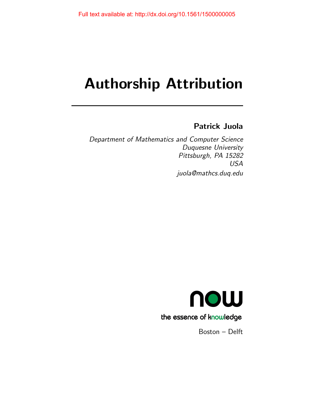# Authorship Attribution

## Patrick Juola

Department of Mathematics and Computer Science Duquesne University Pittsburgh, PA 15282 USA juola@mathcs.duq.edu



Boston – Delft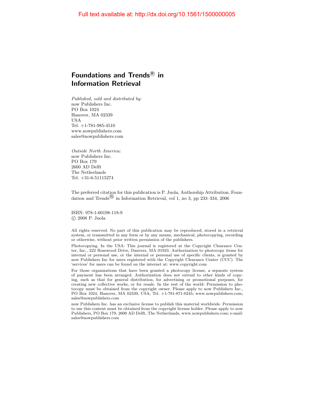## Foundations and Trends ${}^{\text{\textregistered}}$  in Information Retrieval

Published, sold and distributed by: now Publishers Inc. PO Box 1024 Hanover, MA 02339 USA Tel. +1-781-985-4510 www.nowpublishers.com sales@nowpublishers.com

Outside North America: now Publishers Inc. PO Box 179 2600 AD Delft The Netherlands Tel. +31-6-51115274

The preferred citation for this publication is P. Juola, Authorship Attribution, Foundation and Trends<sup> $\&$ </sup> in Information Retrieval, vol 1, no 3, pp 233–334, 2006

ISBN: 978-1-60198-118-9 c 2008 P. Juola

All rights reserved. No part of this publication may be reproduced, stored in a retrieval system, or transmitted in any form or by any means, mechanical, photocopying, recording or otherwise, without prior written permission of the publishers.

Photocopying. In the USA: This journal is registered at the Copyright Clearance Center, Inc., 222 Rosewood Drive, Danvers, MA 01923. Authorization to photocopy items for internal or personal use, or the internal or personal use of specific clients, is granted by now Publishers Inc for users registered with the Copyright Clearance Center (CCC). The 'services' for users can be found on the internet at: www.copyright.com

For those organizations that have been granted a photocopy license, a separate system of payment has been arranged. Authorization does not extend to other kinds of copying, such as that for general distribution, for advertising or promotional purposes, for creating new collective works, or for resale. In the rest of the world: Permission to photocopy must be obtained from the copyright owner. Please apply to now Publishers Inc., PO Box 1024, Hanover, MA 02339, USA; Tel. +1-781-871-0245; www.nowpublishers.com; sales@nowpublishers.com

now Publishers Inc. has an exclusive license to publish this material worldwide. Permission to use this content must be obtained from the copyright license holder. Please apply to now Publishers, PO Box 179, 2600 AD Delft, The Netherlands, www.nowpublishers.com; e-mail: sales@nowpublishers.com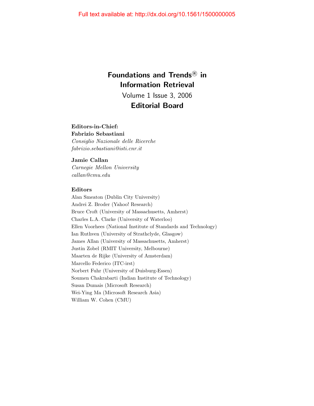## Foundations and Trends<sup>®</sup> in Information Retrieval

Volume 1 Issue 3, 2006 Editorial Board

#### Editors-in-Chief:

Fabrizio Sebastiani Consiglio Nazionale delle Ricerche fabrizio.sebastiani@isti.cnr.it

#### Jamie Callan

Carnegie Mellon University callan@cmu.edu

#### Editors

Alan Smeaton (Dublin City University) Andrei Z. Broder (Yahoo! Research) Bruce Croft (University of Massachusetts, Amherst) Charles L.A. Clarke (University of Waterloo) Ellen Voorhees (National Institute of Standards and Technology) Ian Ruthven (University of Strathclyde, Glasgow) James Allan (University of Massachusetts, Amherst) Justin Zobel (RMIT University, Melbourne) Maarten de Rijke (University of Amsterdam) Marcello Federico (ITC-irst) Norbert Fuhr (University of Duisburg-Essen) Soumen Chakrabarti (Indian Institute of Technology) Susan Dumais (Microsoft Research) Wei-Ying Ma (Microsoft Research Asia) William W. Cohen (CMU)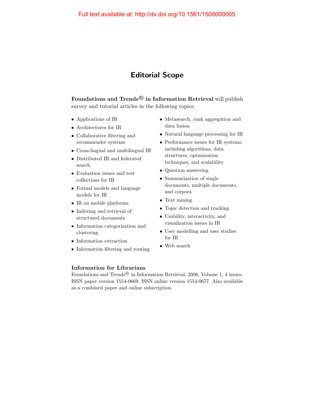## Editorial Scope

Foundations and Trends $^{\textcircled{\textrm{B}}}$  in Information Retrieval will publish survey and tutorial articles in the following topics:

- Applications of IR
- Architectures for IR
- Collaborative filtering and recommender systems
- Cross-lingual and multilingual IR
- Distributed IR and federated search
- Evaluation issues and test collections for IR
- Formal models and language models for IR
- IR on mobile platforms
- Indexing and retrieval of structured documents
- Information categorization and clustering
- Information extraction
- Information filtering and routing
- Metasearch, rank aggregation and data fusion
- Natural language processing for IR
- Performance issues for IR systems, including algorithms, data structures, optimization techniques, and scalability
- Question answering
- Summarization of single documents, multiple documents, and corpora
- Text mining
- Topic detection and tracking
- Usability, interactivity, and visualization issues in IR
- User modelling and user studies for IR
- Web search

#### Information for Librarians

Foundations and Trends<sup>®</sup> in Information Retrieval, 2006, Volume 1, 4 issues. ISSN paper version 1554-0669. ISSN online version 1554-0677. Also available as a combined paper and online subscription.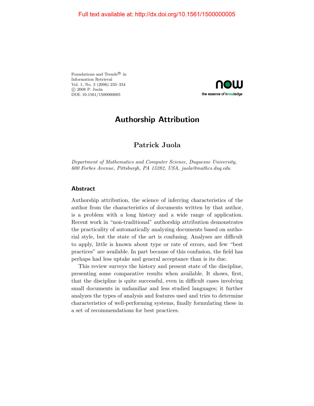Foundations and Trends<sup>®</sup> in Information Retrieval Vol. 1, No. 3 (2006) 233–334 c 2008 P. Juola DOI: 10.1561/1500000005



## Authorship Attribution

### Patrick Juola

Department of Mathematics and Computer Science, Duquesne University, 600 Forbes Avenue, Pittsburgh, PA 15282, USA, juola@mathcs.duq.edu

#### Abstract

Authorship attribution, the science of inferring characteristics of the author from the characteristics of documents written by that author, is a problem with a long history and a wide range of application. Recent work in "non-traditional" authorship attribution demonstrates the practicality of automatically analyzing documents based on authorial style, but the state of the art is confusing. Analyses are difficult to apply, little is known about type or rate of errors, and few "best practices" are available. In part because of this confusion, the field has perhaps had less uptake and general acceptance than is its due.

This review surveys the history and present state of the discipline, presenting some comparative results when available. It shows, first, that the discipline is quite successful, even in difficult cases involving small documents in unfamiliar and less studied languages; it further analyzes the types of analysis and features used and tries to determine characteristics of well-performing systems, finally formulating these in a set of recommendations for best practices.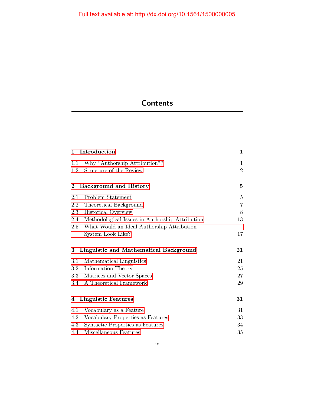## **Contents**

| Introduction<br>1                           |                                                 | $\mathbf{1}$   |
|---------------------------------------------|-------------------------------------------------|----------------|
| 1.1                                         | Why "Authorship Attribution"?                   | 1              |
| 1.2                                         | Structure of the Review                         | $\overline{2}$ |
| $\bf{2}$                                    | <b>Background and History</b>                   | 5              |
| 2.1                                         | Problem Statement                               | $\overline{5}$ |
| 2.2                                         | Theoretical Background                          | $\overline{7}$ |
| 2.3                                         | <b>Historical Overview</b>                      | 8              |
| 2.4                                         | Methodological Issues in Authorship Attribution | 13             |
| $2.5\,$                                     | What Would an Ideal Authorship Attribution      |                |
|                                             | System Look Like?                               | 17             |
| Linguistic and Mathematical Background<br>3 |                                                 | 21             |
| $3.1\,$                                     | Mathematical Linguistics                        | 21             |
| $3.2\,$                                     | Information Theory                              | 25             |
| $3.3\,$                                     | Matrices and Vector Spaces                      | 27             |
| 3.4                                         | A Theoretical Framework                         | 29             |
| $\overline{4}$                              | <b>Linguistic Features</b>                      | 31             |
| 4.1                                         | Vocabulary as a Feature                         | 31             |
| 4.2                                         | Vocabulary Properties as Features               | 33             |
| 4.3                                         | Syntactic Properties as Features                | 34             |
| 4.4                                         | Miscellaneous Features                          | 35             |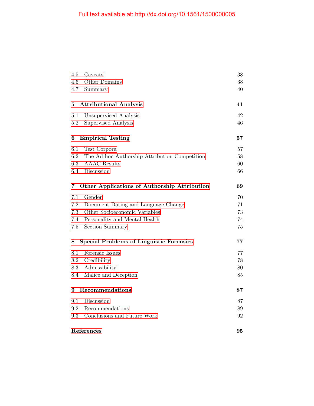| 4.5<br>Caveats                                       | 38 |
|------------------------------------------------------|----|
| 4.6<br>Other Domains                                 | 38 |
| 4.7<br>Summary                                       | 40 |
| <b>Attributional Analysis</b><br>5                   | 41 |
| 5.1<br>Unsupervised Analysis                         | 42 |
| Supervised Analysis<br>5.2                           | 46 |
| <b>Empirical Testing</b><br>6                        | 57 |
| 6.1<br>Test Corpora                                  | 57 |
| 6.2<br>The Ad-hoc Authorship Attribution Competition | 58 |
| 6.3<br><b>AAAC</b> Results                           | 60 |
| Discussion<br>$6.4\,$                                | 66 |
| Other Applications of Authorship Attribution<br>7    | 69 |
| 7.1<br>Gender                                        | 70 |
| 7.2<br>Document Dating and Language Change           | 71 |
| Other Socioeconomic Variables<br>7.3                 | 73 |
| Personality and Mental Health<br>7.4                 | 74 |
| 7.5<br><b>Section Summary</b>                        | 75 |
| <b>Special Problems of Linguistic Forensics</b><br>8 | 77 |
| Forensic Issues<br>8.1                               | 77 |
| 8.2<br>Credibility                                   | 78 |
| 8.3<br>Admissibility                                 | 80 |
| 8.4<br>Malice and Deception                          | 85 |
| Recommendations<br>9                                 |    |
| 9.1<br>Discussion                                    | 87 |
| Recommendations<br>9.2                               | 89 |
| Conclusions and Future Work<br>9.3                   | 92 |
| References                                           |    |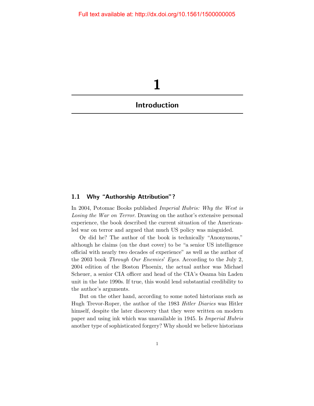<span id="page-8-0"></span>

#### <span id="page-8-1"></span>1.1 Why "Authorship Attribution"?

In 2004, Potomac Books published Imperial Hubris: Why the West is Losing the War on Terror. Drawing on the author's extensive personal experience, the book described the current situation of the Americanled war on terror and argued that much US policy was misguided.

Or did he? The author of the book is technically "Anonymous," although he claims (on the dust cover) to be "a senior US intelligence official with nearly two decades of experience" as well as the author of the 2003 book Through Our Enemies' Eyes. According to the July 2, 2004 edition of the Boston Phoenix, the actual author was Michael Scheuer, a senior CIA officer and head of the CIA's Osama bin Laden unit in the late 1990s. If true, this would lend substantial credibility to the author's arguments.

But on the other hand, according to some noted historians such as Hugh Trevor-Roper, the author of the 1983 Hitler Diaries was Hitler himself, despite the later discovery that they were written on modern paper and using ink which was unavailable in 1945. Is Imperial Hubris another type of sophisticated forgery? Why should we believe historians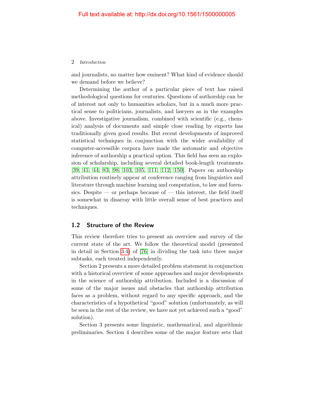#### 2 Introduction

and journalists, no matter how eminent? What kind of evidence should we demand before we believe?

Determining the author of a particular piece of text has raised methodological questions for centuries. Questions of authorship can be of interest not only to humanities scholars, but in a much more practical sense to politicians, journalists, and lawyers as in the examples above. Investigative journalism, combined with scientific (e.g., chemical) analysis of documents and simple close reading by experts has traditionally given good results. But recent developments of improved statistical techniques in conjunction with the wider availability of computer-accessible corpora have made the automatic and objective inference of authorship a practical option. This field has seen an explosion of scholarship, including several detailed book-length treatments [\[39,](#page-13-0) [41,](#page-13-1) [44,](#page-13-2) [83,](#page-16-0) [98,](#page-16-1) [103,](#page-17-0) [105,](#page-17-1) [111,](#page-17-2) [112,](#page-17-3) [150\]](#page-19-0). Papers on authorship attribution routinely appear at conference ranging from linguistics and literature through machine learning and computation, to law and forensics. Despite — or perhaps because of — this interest, the field itself is somewhat in disarray with little overall sense of best practices and techniques.

#### <span id="page-9-0"></span>1.2 Structure of the Review

This review therefore tries to present an overview and survey of the current state of the art. We follow the theoretical model (presented in detail in Section [3.4\)](#page--1-8) of [\[76\]](#page-15-0) in dividing the task into three major subtasks, each treated independently.

Section 2 presents a more detailed problem statement in conjunction with a historical overview of some approaches and major developments in the science of authorship attribution. Included is a discussion of some of the major issues and obstacles that authorship attribution faces as a problem, without regard to any specific approach, and the characteristics of a hypothetical "good" solution (unfortunately, as will be seen in the rest of the review, we have not yet achieved such a "good" solution).

Section 3 presents some linguistic, mathematical, and algorithmic preliminaries. Section 4 describes some of the major feature sets that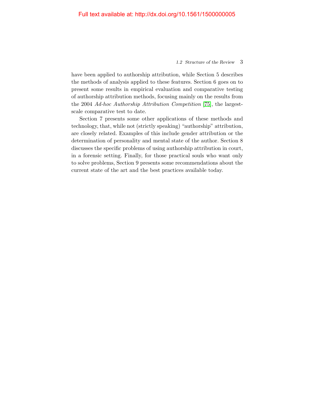#### 1.2 Structure of the Review 3

have been applied to authorship attribution, while Section 5 describes the methods of analysis applied to these features. Section 6 goes on to present some results in empirical evaluation and comparative testing of authorship attribution methods, focusing mainly on the results from the 2004 Ad-hoc Authorship Attribution Competition [\[75\]](#page-15-1), the largestscale comparative test to date.

Section 7 presents some other applications of these methods and technology, that, while not (strictly speaking) "authorship" attribution, are closely related. Examples of this include gender attribution or the determination of personality and mental state of the author. Section 8 discusses the specific problems of using authorship attribution in court, in a forensic setting. Finally, for those practical souls who want only to solve problems, Section 9 presents some recommendations about the current state of the art and the best practices available today.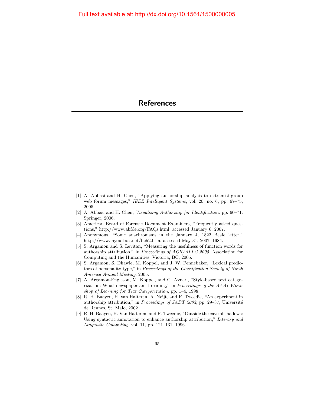- <span id="page-11-0"></span>[1] A. Abbasi and H. Chen, "Applying authorship analysis to extremist-group web forum messages," IEEE Intelligent Systems, vol. 20, no. 6, pp. 67–75, 2005.
- [2] A. Abbasi and H. Chen, Visualizing Authorship for Identification, pp. 60–71. Springer, 2006.
- [3] American Board of Forensic Document Examiners, "Frequently asked questions," http://www.abfde.org/FAQs.html, accessed January 6, 2007.
- [4] Anonymous, "Some anachronisms in the January 4, 1822 Beale letter," http://www.myoutbox.net/bch2.htm, accessed May 31, 2007, 1984.
- [5] S. Argamon and S. Levitan, "Measuring the usefulness of function words for authorship attribution," in Proceedings of ACH/ALLC 2005, Association for Computing and the Humanities, Victoria, BC, 2005.
- [6] S. Argamon, S. Dhawle, M. Koppel, and J. W. Pennebaker, "Lexical predictors of personality type," in Proceedings of the Classification Society of North America Annual Meeting, 2005.
- [7] A. Argamon-Engleson, M. Koppel, and G. Avneri, "Style-based text categorization: What newspaper am I reading," in Proceedings of the AAAI Workshop of Learning for Text Categorization, pp. 1–4, 1998.
- [8] R. H. Baayen, H. van Halteren, A. Neijt, and F. Tweedie, "An experiment in authorship attribution," in Proceedings of JADT 2002, pp. 29–37, Université de Rennes, St. Malo, 2002.
- [9] R. H. Baayen, H. Van Halteren, and F. Tweedie, "Outside the cave of shadows: Using syntactic annotation to enhance authorship attribution," Literary and Linguistic Computing, vol. 11, pp. 121–131, 1996.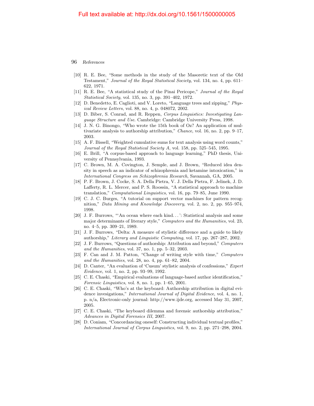- [10] R. E. Bee, "Some methods in the study of the Masoretic text of the Old Testament," Journal of the Royal Statistical Society, vol. 134, no. 4, pp. 611– 622, 1971.
- [11] R. E. Bee, "A statistical study of the Pinai Pericope," Journal of the Royal Statistical Society, vol. 135, no. 3, pp. 391–402, 1972.
- [12] D. Benedetto, E. Caglioti, and V. Loreto, "Language trees and zipping," Physical Review Letters, vol. 88, no. 4, p. 048072, 2002.
- [13] D. Biber, S. Conrad, and R. Reppen, Corpus Linguistics: Investigating Language Structure and Use. Cambridge: Cambridge University Press, 1998.
- [14] J. N. G. Binongo, "Who wrote the 15th book of Oz? An application of multivariate analysis to authorship attribution," Chance, vol. 16, no. 2, pp. 9–17, 2003.
- [15] A. F. Bissell, "Weighted cumulative sums for text analysis using word counts," Journal of the Royal Statistical Society A, vol. 158, pp. 525–545, 1995.
- [16] E. Brill, "A corpus-based approach to language learning," PhD thesis, University of Pennsylvania, 1993.
- [17] C. Brown, M. A. Covington, J. Semple, and J. Brown, "Reduced idea density in speech as an indicator of schizophrenia and ketamine intoxication," in International Congress on Schizophrenia Research, Savannah, GA, 2005.
- [18] P. F. Brown, J. Cocke, S. A. Della Pietra, V. J. Della Pietra, F. Jelinek, J. D. Lafferty, R. L. Mercer, and P. S. Roossin, "A statistical approach to machine translation," Computational Linguistics, vol. 16, pp. 79–85, June 1990.
- [19] C. J. C. Burges, "A tutorial on support vector machines for pattern recognition," Data Mining and Knowledge Discovery, vol. 2, no. 2, pp. 955–974, 1998.
- [20] J. F. Burrows, "'An ocean where each kind. . . ': Statistical analysis and some major determinants of literary style," Computers and the Humanities, vol. 23, no. 4–5, pp. 309–21, 1989.
- [21] J. F. Burrows, "Delta: A measure of stylistic difference and a guide to likely authorship," Literary and Linguistic Computing, vol. 17, pp. 267–287, 2002.
- [22] J. F. Burrows, "Questions of authorship: Attribution and beyond," Computers and the Humanities, vol. 37, no. 1, pp. 5–32, 2003.
- [23] F. Can and J. M. Patton, "Change of writing style with time," Computers and the Humanities, vol. 28, no. 4, pp. 61–82, 2004.
- [24] D. Canter, "An evaluation of 'Cusum' stylistic analysis of confessions," Expert Evidence, vol. 1, no. 2, pp. 93–99, 1992.
- [25] C. E. Chaski, "Empirical evaluations of language-based author identification," Forensic Linguistics, vol. 8, no. 1, pp. 1–65, 2001.
- [26] C. E. Chaski, "Who's at the keyboard: Authorship attribution in digital evidence invesigations," International Journal of Digital Evidence, vol. 4, no. 1, p. n/a, Electronic-only journal: http://www.ijde.org, accessed May 31, 2007, 2005.
- [27] C. E. Chaski, "The keyboard dilemma and forensic authorship attribution," Advances in Digital Forensics III, 2007.
- [28] D. Coniam, "Concordancing oneself: Constructing individual textual profiles," International Journal of Corpus Linguistics, vol. 9, no. 2, pp. 271–298, 2004.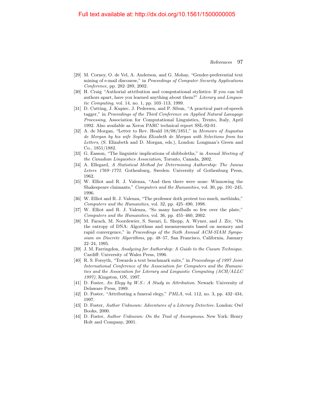- [29] M. Corney, O. de Vel, A. Anderson, and G. Mohay, "Gender-preferential text mining of e-mail discourse," in Proceedings of Computer Security Applications Conference, pp. 282–289, 2002.
- [30] H. Craig "Authorial attribution and computational stylistics: If you can tell authors apart, have you learned anything about them?" Literary and Linguistic Computing, vol. 14, no. 1, pp. 103–113, 1999.
- [31] D. Cutting, J. Kupiec, J. Pedersen, and P. Sibun, "A practical part-of-speech tagger," in Proceedings of the Third Conference on Applied Natural Lanugage Processing, Association for Computational Linguistics, Trento, Italy, April 1992. Also available as Xerox PARC technical report SSL-92-01.
- [32] A. de Morgan, "Letter to Rev. Heald 18/08/1851," in Memoirs of Augustus de Morgan by his wife Sophia Elizabeth de Morgan with Selections from his Letters, (S. Elizabeth and D. Morgan, eds.), London: Longman's Green and Co., 1851/1882.
- [33] G. Easson, "The linguistic implications of shibboleths," in Annual Meeting of the Canadian Linguistics Association, Toronto, Canada, 2002.
- [34] A. Ellegard, A Statistical Method for Determining Authorship: The Junius Leters 1769–1772. Gothenburg, Sweden: University of Gothenburg Press, 1962.
- [35] W. Elliot and R. J. Valenza, "And then there were none: Winnowing the Shakespeare claimants," Computers and the Humanities, vol. 30, pp. 191–245, 1996.
- [36] W. Elliot and R. J. Valenza, "The professor doth protest too much, methinks," Computers and the Humanities, vol. 32, pp. 425–490, 1998.
- [37] W. Elliot and R. J. Valenza, "So many hardballs so few over the plate," Computers and the Humanities, vol. 36, pp. 455–460, 2002.
- [38] M. Farach, M. Noordewier, S. Savari, L. Shepp, A. Wyner, and J. Ziv, "On the entropy of DNA: Algorithms and measurements based on memory and rapid convergence," in Proceedings of the Sixth Annual ACM-SIAM Symposium on Discrete Algorithms, pp. 48–57, San Francisco, California, January 22–24, 1995.
- <span id="page-13-0"></span>[39] J. M. Farringdon, Analyzing for Authorship: A Guide to the Cusum Technique. Cardiff: University of Wales Press, 1996.
- [40] R. S. Forsyth, "Towards a text benchmark suite," in Proceedings of 1997 Joint International Conference of the Association for Computers and the Humanities and the Association for Literary and Linguistic Computing (ACH/ALLC 1997), Kingston, ON, 1997.
- <span id="page-13-1"></span>[41] D. Foster, An Elegy by W.S.: A Study in Attribution. Newark: University of Delaware Press, 1989.
- [42] D. Foster, "Attributing a funeral elegy," PMLA, vol. 112, no. 3, pp. 432–434, 1997.
- [43] D. Foster, Author Unknown: Adventures of a Literary Detective. London: Owl Books, 2000.
- <span id="page-13-2"></span>[44] D. Foster, Author Unknown: On the Trail of Anonymous. New York: Henry Holt and Company, 2001.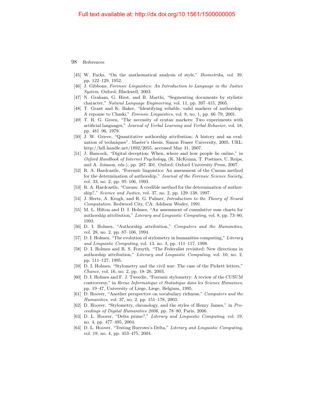- [45] W. Fucks, "On the mathematical analysis of style," Biometrika, vol. 39, pp. 122–129, 1952.
- [46] J. Gibbons, Forensic Linguistics: An Introduction to Language in the Justice System. Oxford: Blackwell, 2003.
- [47] N. Graham, G. Hirst, and B. Marthi, "Segmenting documents by stylistic character," Natural Language Engineering, vol. 11, pp. 397–415, 2005.
- [48] T. Grant and K. Baker, "Identifying reliable, valid markers of authorship: A reponse to Chaski," Forensic Linguistics, vol. 8, no. 1, pp. 66–79, 2001.
- [49] T. R. G. Green, "The necessity of syntax markers: Two experiments with artificial languages," Journal of Verbal Learning and Verbal Behavior, vol. 18, pp. 481–96, 1979.
- [50] J. W. Grieve, "Quantitative authorship attribution: A history and an evaluation of techniques". Master's thesis, Simon Fraser University, 2005. URL: http://hdl.handle.net/1892/2055, accessed May 31, 2007.
- [51] J. Hancock, "Digital deception: When, where and how people lie online," in Oxford Handbook of Internet Psychology, (K. McKenna, T. Postmes, U. Reips, and A. Joinson, eds.), pp. 287–301, Oxford: Oxford University Press, 2007.
- [52] R. A. Hardcastle, "Forensic linguistics: An assessment of the Cusum method for the determination of authorship," Journal of the Forensic Science Society, vol. 33, no. 2, pp. 95–106, 1993.
- [53] R. A. Hardcastle, "Cusum: A credible method for the determination of authorship?," Science and Justice, vol. 37, no. 2, pp. 129–138, 1997.
- [54] J. Hertz, A. Krogh, and R. G. Palmer, Introduction to the Theory of Neural Computation. Redwood City, CA: Addison Wesley, 1991.
- [55] M. L. Hilton and D. I. Holmes, "An assessment of cumulative sum charts for authorship attribution," Literary and Linguistic Computing, vol. 8, pp. 73–80, 1993.
- [56] D. I. Holmes, "Authorship attribution," Computers and the Humanities, vol. 28, no. 2, pp. 87–106, 1994.
- [57] D. I. Holmes, "The evolution of stylometry in humanities computing," Literary and Linguistic Computing, vol. 13, no. 3, pp. 111–117, 1998.
- [58] D. I. Holmes and R. S. Forsyth, "The Federalist revisited: New directions in authorship attribution," Literary and Linguistic Computing, vol. 10, no. 2, pp. 111–127, 1995.
- [59] D. I. Holmes, "Stylometry and the civil war: The case of the Pickett letters," Chance, vol. 16, no. 2, pp. 18–26, 2003.
- [60] D. I. Holmes and F. J. Tweedie, "Forensic stylometry: A review of the CUSUM controversy," in Revue Informatique et Statistique dans les Science Humaines, pp. 19–47, University of Liege, Liege, Belgium, 1995.
- [61] D. Hoover, "Another perspective on vocabulary richness," Computers and the Humanities, vol. 37, no. 2, pp. 151–178, 2003.
- [62] D. Hoover, "Stylometry, chronology, and the styles of Henry James," in Proceedings of Digital Humanities 2006, pp. 78–80, Paris, 2006.
- [63] D. L. Hoover, "Delta prime?," Literary and Linguistic Computing, vol. 19, no. 4, pp. 477–495, 2004.
- [64] D. L. Hoover, "Testing Burrows's Delta," Literary and Linguistic Computing, vol. 19, no. 4, pp. 453–475, 2004.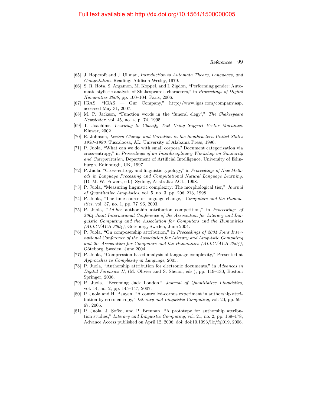- [65] J. Hopcroft and J. Ullman, Introduction to Automata Theory, Languages, and Computation. Reading: Addison-Wesley, 1979.
- [66] S. R. Hota, S. Argamon, M. Koppel, and I. Zigdon, "Performing gender: Automatic stylistic analysis of Shakespeare's characters," in Proceedings of Digital Humanities 2006, pp. 100–104, Paris, 2006.
- [67] IGAS, "IGAS Our Company," http://www.igas.com/company.asp, accessed May 31, 2007.
- [68] M. P. Jackson, "Function words in the 'funeral elegy'," The Shakespeare Newsletter, vol. 45, no. 4, p. 74, 1995.
- [69] T. Joachims, Learning to Classify Text Using Support Vector Machines. Kluwer, 2002.
- [70] E. Johnson, Lexical Change and Variation in the Southeastern United States 1930–1990. Tuscaloosa, AL: University of Alabama Press, 1996.
- [71] P. Juola, "What can we do with small corpora? Document categorization via cross-entropy," in Proceedings of an Interdisciplinary Workshop on Similarity and Categorization, Department of Artificial Intelligence, University of Edinburgh, Edinburgh, UK, 1997.
- [72] P. Juola, "Cross-entropy and linguistic typology," in Proceedings of New Methods in Language Processing and Computational Natural Language Learning, (D. M. W. Powers, ed.), Sydney, Australia: ACL, 1998.
- [73] P. Juola, "Measuring linguistic complexity: The morphological tier," Journal of Quantitative Linguistics, vol. 5, no. 3, pp. 206–213, 1998.
- [74] P. Juola, "The time course of language change," Computers and the Humanities, vol. 37, no. 1, pp. 77–96, 2003.
- <span id="page-15-1"></span>[75] P. Juola, "Ad-hoc authorship attribution competition," in Proceedings of 2004 Joint International Conference of the Association for Literary and Linguistic Computing and the Association for Computers and the Humanities  $(ALLC/ACH 2004)$ , Göteborg, Sweden, June 2004.
- <span id="page-15-0"></span>[76] P. Juola, "On composership attribution," in Proceedings of 2004 Joint International Conference of the Association for Literary and Linguistic Computing and the Association for Computers and the Humanities (ALLC/ACH 2004), Göteborg, Sweden, June 2004.
- [77] P. Juola, "Compression-based analysis of language complexity," Presented at Approaches to Complexity in Language, 2005.
- [78] P. Juola, "Authorship attribution for electronic documents," in Advances in Digital Forensics II, (M. Olivier and S. Shenoi, eds.), pp. 119–130, Boston: Springer, 2006.
- [79] P. Juola, "Becoming Jack London," Journal of Quantitative Linguistics, vol. 14, no. 2, pp. 145–147, 2007.
- [80] P. Juola and H. Baayen, "A controlled-corpus experiment in authorship attribution by cross-entropy," Literary and Linguistic Computing, vol. 20, pp. 59– 67, 2005.
- [81] P. Juola, J. Sofko, and P. Brennan, "A prototype for authorship attribution studies," Literary and Linguistic Computing, vol. 21, no. 2, pp. 169–178, Advance Access published on April 12, 2006; doi: doi:10.1093/llc/fql019, 2006.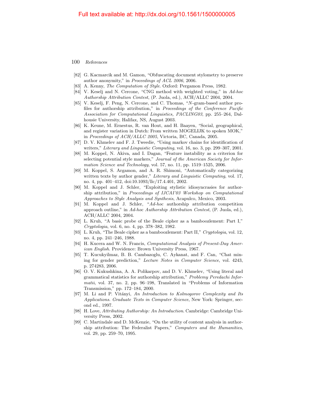- [82] G. Kacmarcik and M. Gamon, "Obfuscating document stylometry to preserve author anonymity," in Proceedings of ACL 2006, 2006.
- <span id="page-16-0"></span>[83] A. Kenny, The Computation of Style. Oxford: Pergamon Press, 1982.
- [84] V. Keselj and N. Cercone, "CNG method with weighted voting," in Ad-hoc Authorship Attribution Contest, (P. Juola, ed.), ACH/ALLC 2004, 2004.
- [85] V. Keselj, F. Peng, N. Cercone, and C. Thomas, "N-gram-based author profiles for authorship attribution," in Proceedings of the Conference Pacific Association for Computational Linguistics, PACLING03, pp. 255–264, Dalhousie University, Halifax, NS, August 2003.
- [86] K. Keune, M. Ernestus, R. van Hout, and H. Baayen, "Social, geographical, and register variation in Dutch: From written MOGELIJK to spoken MOK," in Proceedings of ACH/ALLC 2005, Victoria, BC, Canada, 2005.
- [87] D. V. Khmelev and F. J. Tweedie, "Using markov chains for identification of writers," Literary and Linguistic Computing, vol. 16, no. 3, pp. 299–307, 2001.
- [88] M. Koppel, N. Akiva, and I. Dagan, "Feature instability as a criterion for selecting potential style markers," Journal of the American Society for Information Science and Technology, vol. 57, no. 11, pp. 1519–1525, 2006.
- [89] M. Koppel, S. Argamon, and A. R. Shimoni, "Automatically categorizing written texts by author gender," Literary and Linguistic Computing, vol. 17, no. 4, pp. 401–412, doi:10.1093/llc/17.4.401, 2002.
- [90] M. Koppel and J. Schler, "Exploiting stylistic idiosyncrasies for authorship attribution," in Proceedings of IJCAI'03 Workshop on Computational Approaches to Style Analysis and Synthesis, Acapulco, Mexico, 2003.
- [91] M. Koppel and J. Schler, "Ad-hoc authorship attribution competition approach outline," in Ad-hoc Authorship Attribution Contest, (P. Juola, ed.), ACH/ALLC 2004, 2004.
- [92] L. Kruh, "A basic probe of the Beale cipher as a bamboozlement: Part I," Cryptologia, vol. 6, no. 4, pp. 378–382, 1982.
- [93] L. Kruh, "The Beale cipher as a bamboozlement: Part II," Cryptologia, vol. 12, no. 4, pp. 241–246, 1988.
- [94] H. Kucera and W. N. Francis, Computational Analysis of Present-Day American English. Providence: Brown University Press, 1967.
- [95] T. Kucukyilmaz, B. B. Cambazoglu, C. Aykanat, and F. Can, "Chat mining for gender prediction," Lecture Notes in Computer Science, vol. 4243, p. 274283, 2006.
- [96] O. V. Kukushkina, A. A. Polikarpov, and D. V. Khmelev, "Using literal and grammatical statistics for authorship attribution," Problemy Peredachi Informatii, vol. 37, no. 2, pp. 96–198, Translated in "Problems of Information Transmission," pp. 172–184, 2000.
- [97] M. Li and P. Vitányi, An Introduction to Kolmogorov Complexity and Its Applications. Graduate Texts in Computer Science, New York: Springer, second ed., 1997.
- <span id="page-16-1"></span>[98] H. Love, Attributing Authorship: An Introduction. Cambridge: Cambridge University Press, 2002.
- [99] C. Martindale and D. McKenzie, "On the utility of content analysis in authorship attribution: The Federalist Papers," Computers and the Humanities, vol. 29, pp. 259–70, 1995.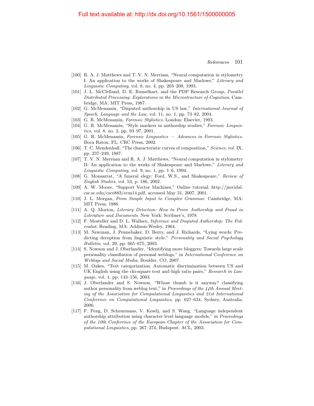- [100] R. A. J. Matthews and T. V. N. Merriam, "Neural computation in stylometry I: An application to the works of Shakespeare and Marlowe," Literary and Linguistic Computing, vol. 8, no. 4, pp. 203–209, 1993.
- [101] J. L. McClelland, D. E. Rumelhart, and the PDP Research Group, Parallel Distributed Processing: Explorations in the Microstructure of Cognition. Cambridge, MA: MIT Press, 1987.
- [102] G. McMenamin, "Disputed authorship in US law," International Journal of Speech, Language and the Law, vol. 11, no. 1, pp. 73–82, 2004.
- <span id="page-17-0"></span>[103] G. R. McMenamin, Forensic Stylistics. London: Elsevier, 1993.
- [104] G. R. McMenamin, "Style markers in authorship studies," Forensic Linguistics, vol. 8, no. 2, pp. 93–97, 2001.
- <span id="page-17-1"></span>[105] G. R. McMenamin, Forensic Linguistics — Advances in Forensic Stylistics. Boca Raton, FL: CRC Press, 2002.
- [106] T. C. Mendenhall, "The characteristic curves of composition," Science, vol. IX, pp. 237–249, 1887.
- [107] T. V. N. Merriam and R. A. J. Matthews, "Neural computation in stylometry II: An application to the works of Shakespeare and Marlowe," Literary and Linguistic Computing, vol. 9, no. 1, pp. 1–6, 1994.
- [108] G. Monsarrat, "A funeral elegy: Ford, W.S., and Shakespeare," Review of English Studies, vol. 53, p. 186, 2002.
- [109] A. W. Moore, "Support Vector Machines," Online tutorial: http://jmvidal. cse.sc.edu/csce883/svm14.pdf, accessed May 31, 2007, 2001.
- [110] J. L. Morgan, From Simple Input to Complex Grammar. Cambridge, MA: MIT Press, 1986.
- <span id="page-17-2"></span>[111] A. Q. Morton, Literary Detection: How to Prove Authorship and Fraud in Literature and Documents. New York: Scribner's, 1978.
- <span id="page-17-3"></span>[112] F. Mosteller and D. L. Wallace, Inference and Disputed Authorship: The Federalist. Reading, MA: Addison-Wesley, 1964.
- [113] M. Newman, J. Pennebaker, D. Berry, and J. Richards, "Lying words: Predicting deception from linguistic style," Personality and Social Psychology Bulletin, vol. 29, pp. 665–675, 2003.
- [114] S. Nowson and J. Oberlander, "Identifying more bloggers: Towards large scale personality classifiation of personal weblogs," in International Conference on Weblogs and Social Media, Boulder, CO, 2007.
- [115] M. Oakes, "Text categorization: Automatic discrimination between US and UK English using the chi-square text and high ratio pairs," Research in Language, vol. 1, pp. 143–156, 2003.
- [116] J. Oberlander and S. Nowson, "Whose thumb is it anyway? classifying author personality from weblog text," in Proceedings of the  $44th$  Annual Meeting of the Association for Computational Linguistics and 21st International Conference on Computational Linguistics, pp. 627–634, Sydney, Australia, 2006.
- [117] F. Peng, D. Schuurmans, V. Keselj, and S. Wang, "Language independent authorship attribution using character level language models," in Proceedings of the 10th Conference of the European Chapter of the Association for Computational Linguistics, pp. 267–274, Budapest: ACL, 2003.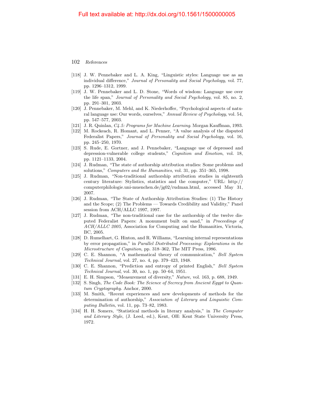- [118] J. W. Pennebaker and L. A. King, "Linguistic styles: Language use as an individual difference," Journal of Personality and Social Psychology, vol. 77, pp. 1296–1312, 1999.
- [119] J. W. Pennebaker and L. D. Stone, "Words of wisdom: Language use over the life span," Journal of Personality and Social Psychology, vol. 85, no. 2, pp. 291–301, 2003.
- [120] J. Pennebaker, M. Mehl, and K. Niederhoffer, "Psychological aspects of natural language use: Our words, ourselves," Annual Review of Psychology, vol. 54, pp. 547–577, 2003.
- [121] J. R. Quinlan, C4.5: Programs for Machine Learning. Morgan Kauffman, 1993.
- [122] M. Rockeach, R. Homant, and L. Penner, "A value analysis of the disputed Federalist Papers," Journal of Personality and Social Psychology, vol. 16, pp. 245–250, 1970.
- [123] S. Rude, E. Gortner, and J. Pennebaker, "Language use of depressed and depression-vulnerable college students," Cognition and Emotion, vol. 18, pp. 1121–1133, 2004.
- [124] J. Rudman, "The state of authorship attribution studies: Some problems and solutions," *Computers and the Humanities*, vol. 31, pp. 351–365, 1998.
- [125] J. Rudman, "Non-traditional authorship attribution studies in eighteenth century literature: Stylistics, statistics and the computer," URL: http:// computerphilologie.uni-muenchen.de/jg02/rudman.html, accessed May 31, 2007.
- [126] J. Rudman, "The State of Authorship Attribution Studies: (1) The History and the Scope; (2) The Problems — Towards Credibility and Validity," Panel session from ACH/ALLC 1997, 1997.
- [127] J. Rudman, "The non-traditional case for the authorship of the twelve disputed Federalist Papers: A monument built on sand," in Proceedings of ACH/ALLC 2005, Association for Computing and the Humanities, Victoria, BC, 2005.
- [128] D. Rumelhart, G. Hinton, and R. Williams, "Learning internal representations by error propagation," in Parallel Distributed Processing: Explorations in the Microstructure of Cognition, pp. 318–362, The MIT Press, 1986.
- [129] C. E. Shannon, "A mathematical theory of communication," Bell System Technical Journal, vol. 27, no. 4, pp. 379–423, 1948.
- [130] C. E. Shannon, "Prediction and entropy of printed English," Bell System Technical Journal, vol. 30, no. 1, pp. 50–64, 1951.
- [131] E. H. Simpson, "Measurement of diversity," Nature, vol. 163, p. 688, 1949.
- [132] S. Singh, The Code Book: The Science of Secrecy from Ancient Egypt to Quantum Cryptography. Anchor, 2000.
- [133] M. Smith, "Recent experiences and new developments of methods for the determination of authorship," Association of Literary and Linguistic Computing Bulletin, vol. 11, pp. 73–82, 1983.
- [134] H. H. Somers, "Statistical methods in literary analysis," in The Computer and Literary Style, (J. Leed, ed.), Kent, OH: Kent State University Press, 1972.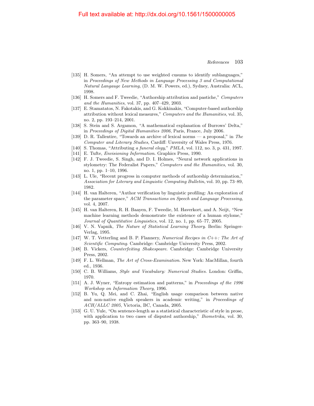- [135] H. Somers, "An attempt to use weighted cusums to identify sublanguages," in Proceedings of New Methods in Language Processing 3 and Computational Natural Langauge Learning, (D. M. W. Powers, ed.), Sydney, Australia: ACL, 1998.
- [136] H. Somers and F. Tweedie, "Authorship attribution and pastiche," Computers and the Humanities, vol. 37, pp. 407–429, 2003.
- [137] E. Stamatatos, N. Fakotakis, and G. Kokkinakis, "Computer-based authorship attribution without lexical measures," Computers and the Humanities, vol. 35, no. 2, pp. 193–214, 2001.
- [138] S. Stein and S. Argamon, "A mathematical explanation of Burrows' Delta," in Proceedings of Digital Humanities 2006, Paris, France, July 2006.
- [139] D. R. Tallentire, "Towards an archive of lexical norms a proposal," in The Computer and Literary Studies, Cardiff: Unversity of Wales Press, 1976.
- [140] S. Thomas, "Attributing a funeral elegy," PMLA, vol. 112, no. 3, p. 431, 1997.
- [141] E. Tufte, *Envisioning Information*. Graphics Press, 1990.
- [142] F. J. Tweedie, S. Singh, and D. I. Holmes, "Neural network applications in stylometry: The Federalist Papers," Computers and the Humanities, vol. 30, no. 1, pp. 1–10, 1996.
- [143] L. Ule, "Recent progress in computer methods of authorship determination," Association for Literary and Linguistic Computing Bulletin, vol. 10, pp. 73–89, 1982.
- [144] H. van Halteren, "Author verification by linguistic profiling: An exploration of the parameter space," ACM Transactions on Speech and Language Processing, vol. 4, 2007.
- [145] H. van Halteren, R. H. Baayen, F. Tweedie, M. Haverkort, and A. Neijt, "New machine learning methods demonstrate the existence of a human stylome," Journal of Quantitative Linguistics, vol. 12, no. 1, pp. 65–77, 2005.
- [146] V. N. Vapnik, The Nature of Statistical Learning Theory. Berlin: Springer-Verlag, 1995.
- [147] W. T. Vetterling and B. P. Flannery, Numerical Recipes in C++: The Art of Scientific Computing. Cambridge: Cambridge University Press, 2002.
- [148] B. Vickers, Counterfeiting Shakespeare. Cambridge: Cambridge University Press, 2002.
- [149] F. L. Wellman, The Art of Cross-Examination. New York: MacMillan, fourth ed., 1936.
- <span id="page-19-0"></span>[150] C. B. Williams, Style and Vocabulary: Numerical Studies. London: Griffin, 1970.
- [151] A. J. Wyner, "Entropy estimation and patterns," in Proceedings of the 1996 Workshop on Information Theory, 1996.
- [152] B. Yu, Q. Mei, and C. Zhai, "English usage comparison between native and non-native english speakers in academic writing," in Proceedings of ACH/ALLC 2005, Victoria, BC, Canada, 2005.
- [153] G. U. Yule, "On sentence-length as a statistical characteristic of style in prose, with application to two cases of disputed authorship," *Biometrika*, vol. 30, pp. 363–90, 1938.